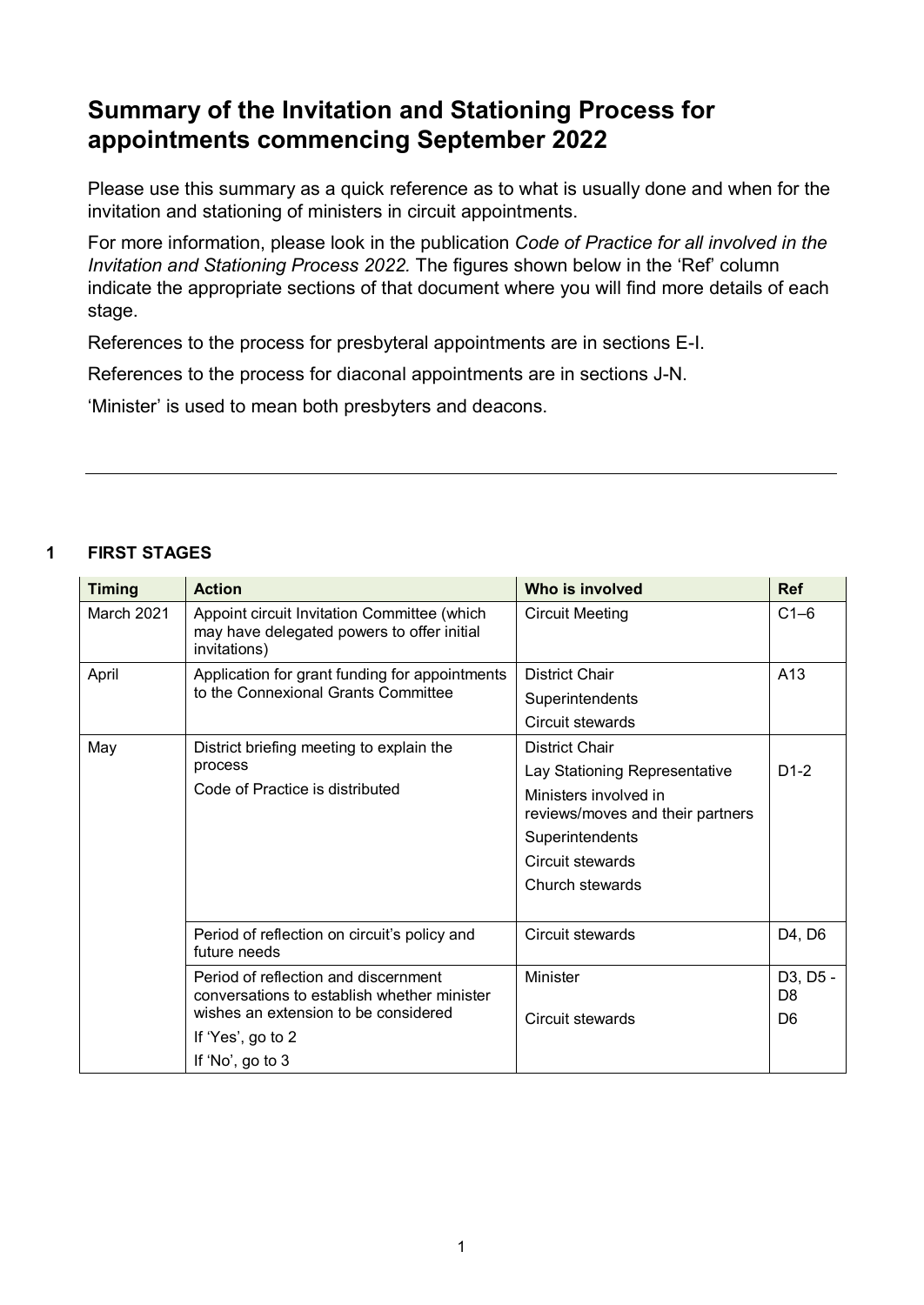# **Summary of the Invitation and Stationing Process for appointments commencing September 2022**

Please use this summary as a quick reference as to what is usually done and when for the invitation and stationing of ministers in circuit appointments.

For more information, please look in the publication *Code of Practice for all involved in the Invitation and Stationing Process 2022.* The figures shown below in the 'Ref' column indicate the appropriate sections of that document where you will find more details of each stage.

References to the process for presbyteral appointments are in sections E-I.

References to the process for diaconal appointments are in sections J-N.

'Minister' is used to mean both presbyters and deacons.

#### **1 FIRST STAGES**

| <b>Timing</b> | <b>Action</b>                                                                                                               | Who is involved                                           | <b>Ref</b>                 |
|---------------|-----------------------------------------------------------------------------------------------------------------------------|-----------------------------------------------------------|----------------------------|
| March 2021    | Appoint circuit Invitation Committee (which<br>may have delegated powers to offer initial<br>invitations)                   | <b>Circuit Meeting</b>                                    | $C1-6$                     |
| April         | Application for grant funding for appointments<br>to the Connexional Grants Committee                                       | <b>District Chair</b>                                     | A13                        |
|               |                                                                                                                             | Superintendents                                           |                            |
|               |                                                                                                                             | Circuit stewards                                          |                            |
| May           | District briefing meeting to explain the<br>process<br>Code of Practice is distributed                                      | <b>District Chair</b>                                     |                            |
|               |                                                                                                                             | Lay Stationing Representative                             | $D1-2$                     |
|               |                                                                                                                             | Ministers involved in<br>reviews/moves and their partners |                            |
|               |                                                                                                                             | Superintendents                                           |                            |
|               |                                                                                                                             | Circuit stewards                                          |                            |
|               |                                                                                                                             | Church stewards                                           |                            |
|               |                                                                                                                             |                                                           |                            |
|               | Period of reflection on circuit's policy and<br>future needs                                                                | Circuit stewards                                          | D4, D6                     |
|               | Period of reflection and discernment<br>conversations to establish whether minister<br>wishes an extension to be considered | Minister                                                  | D3, D5 -<br>D <sub>8</sub> |
|               |                                                                                                                             | Circuit stewards                                          | D <sub>6</sub>             |
|               | If 'Yes', go to 2                                                                                                           |                                                           |                            |
|               | If 'No', go to 3                                                                                                            |                                                           |                            |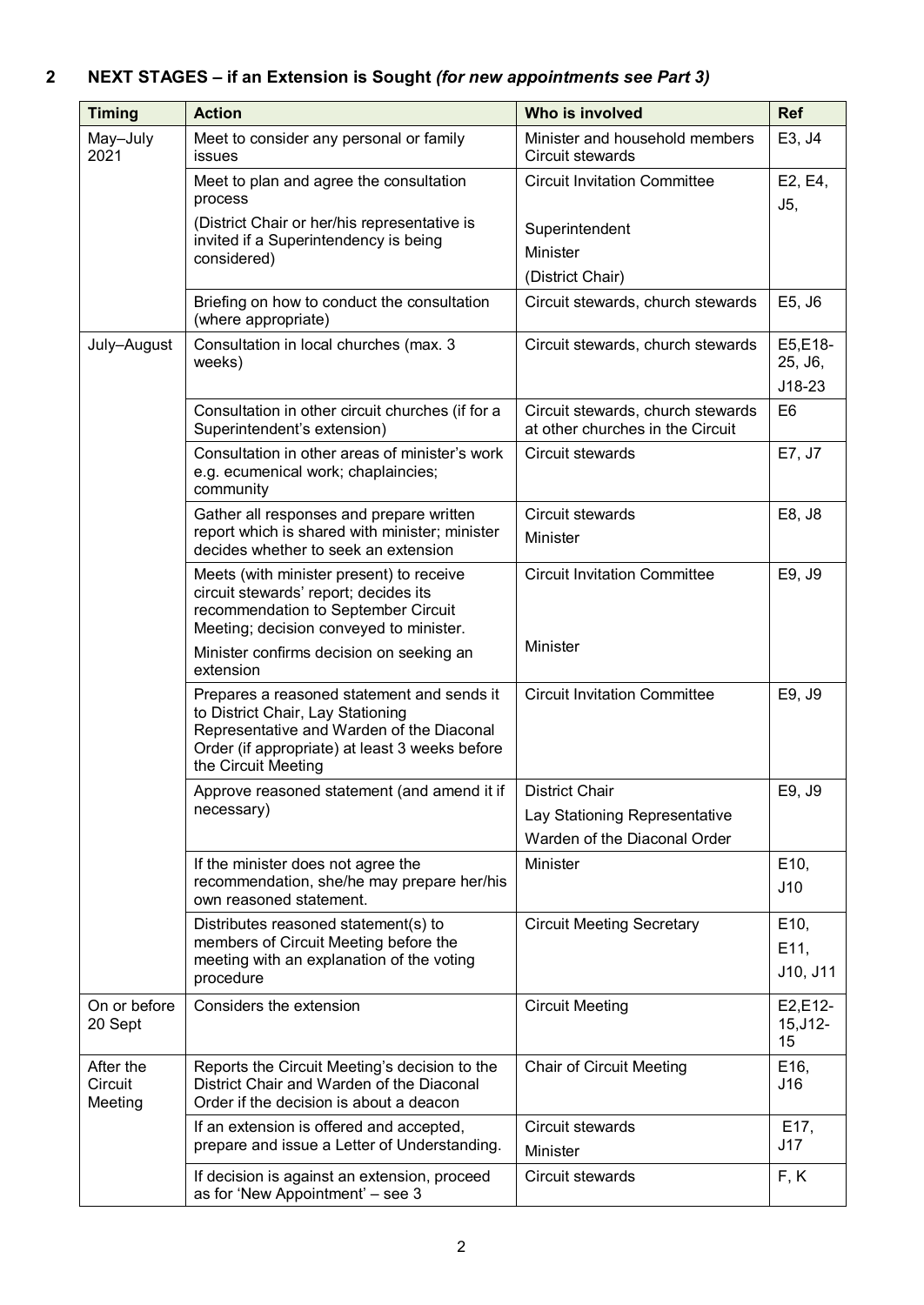# **2 NEXT STAGES – if an Extension is Sought** *(for new appointments see Part 3)*

| <b>Timing</b>                   | <b>Action</b>                                                                                                                                                                                         | Who is involved                                                       | <b>Ref</b>                     |
|---------------------------------|-------------------------------------------------------------------------------------------------------------------------------------------------------------------------------------------------------|-----------------------------------------------------------------------|--------------------------------|
| May-July<br>2021                | Meet to consider any personal or family<br>issues                                                                                                                                                     | Minister and household members<br>Circuit stewards                    | E3, J4                         |
|                                 | Meet to plan and agree the consultation<br>process                                                                                                                                                    | <b>Circuit Invitation Committee</b>                                   | E2, E4,<br>J5,                 |
|                                 | (District Chair or her/his representative is<br>invited if a Superintendency is being<br>considered)                                                                                                  | Superintendent                                                        |                                |
|                                 |                                                                                                                                                                                                       | Minister                                                              |                                |
|                                 |                                                                                                                                                                                                       | (District Chair)                                                      |                                |
|                                 | Briefing on how to conduct the consultation<br>(where appropriate)                                                                                                                                    | Circuit stewards, church stewards                                     | E5, J6                         |
| July-August                     | Consultation in local churches (max. 3<br>weeks)                                                                                                                                                      | Circuit stewards, church stewards                                     | E5,E18-<br>25, J6,<br>$J18-23$ |
|                                 | Consultation in other circuit churches (if for a<br>Superintendent's extension)                                                                                                                       | Circuit stewards, church stewards<br>at other churches in the Circuit | E <sub>6</sub>                 |
|                                 | Consultation in other areas of minister's work<br>e.g. ecumenical work; chaplaincies;<br>community                                                                                                    | Circuit stewards                                                      | E7, J7                         |
|                                 | Gather all responses and prepare written                                                                                                                                                              | Circuit stewards                                                      | E8, J8                         |
|                                 | report which is shared with minister; minister<br>decides whether to seek an extension                                                                                                                | Minister                                                              |                                |
|                                 | Meets (with minister present) to receive<br>circuit stewards' report; decides its<br>recommendation to September Circuit<br>Meeting; decision conveyed to minister.                                   | <b>Circuit Invitation Committee</b>                                   | E9, J9                         |
|                                 | Minister confirms decision on seeking an<br>extension                                                                                                                                                 | Minister                                                              |                                |
|                                 | Prepares a reasoned statement and sends it<br>to District Chair, Lay Stationing<br>Representative and Warden of the Diaconal<br>Order (if appropriate) at least 3 weeks before<br>the Circuit Meeting | <b>Circuit Invitation Committee</b>                                   | E9, J9                         |
|                                 | Approve reasoned statement (and amend it if  <br>necessary)                                                                                                                                           | <b>District Chair</b>                                                 | E9, J9                         |
|                                 |                                                                                                                                                                                                       | Lay Stationing Representative                                         |                                |
|                                 |                                                                                                                                                                                                       | Warden of the Diaconal Order                                          |                                |
|                                 | If the minister does not agree the<br>recommendation, she/he may prepare her/his<br>own reasoned statement.                                                                                           | Minister                                                              | E <sub>10</sub> ,<br>J10       |
|                                 | Distributes reasoned statement(s) to                                                                                                                                                                  | <b>Circuit Meeting Secretary</b>                                      | E10,                           |
|                                 | members of Circuit Meeting before the<br>meeting with an explanation of the voting                                                                                                                    |                                                                       | E11,                           |
|                                 | procedure                                                                                                                                                                                             |                                                                       | J10, J11                       |
| On or before<br>20 Sept         | Considers the extension                                                                                                                                                                               | <b>Circuit Meeting</b>                                                | E2,E12-<br>$15, J12 -$<br>15   |
| After the<br>Circuit<br>Meeting | Reports the Circuit Meeting's decision to the<br>District Chair and Warden of the Diaconal<br>Order if the decision is about a deacon                                                                 | <b>Chair of Circuit Meeting</b>                                       | E <sub>16</sub> ,<br>J16       |
|                                 | If an extension is offered and accepted,<br>prepare and issue a Letter of Understanding.                                                                                                              | Circuit stewards<br>Minister                                          | E17,<br>J17                    |
|                                 | If decision is against an extension, proceed<br>as for 'New Appointment' - see 3                                                                                                                      | Circuit stewards                                                      | F, K                           |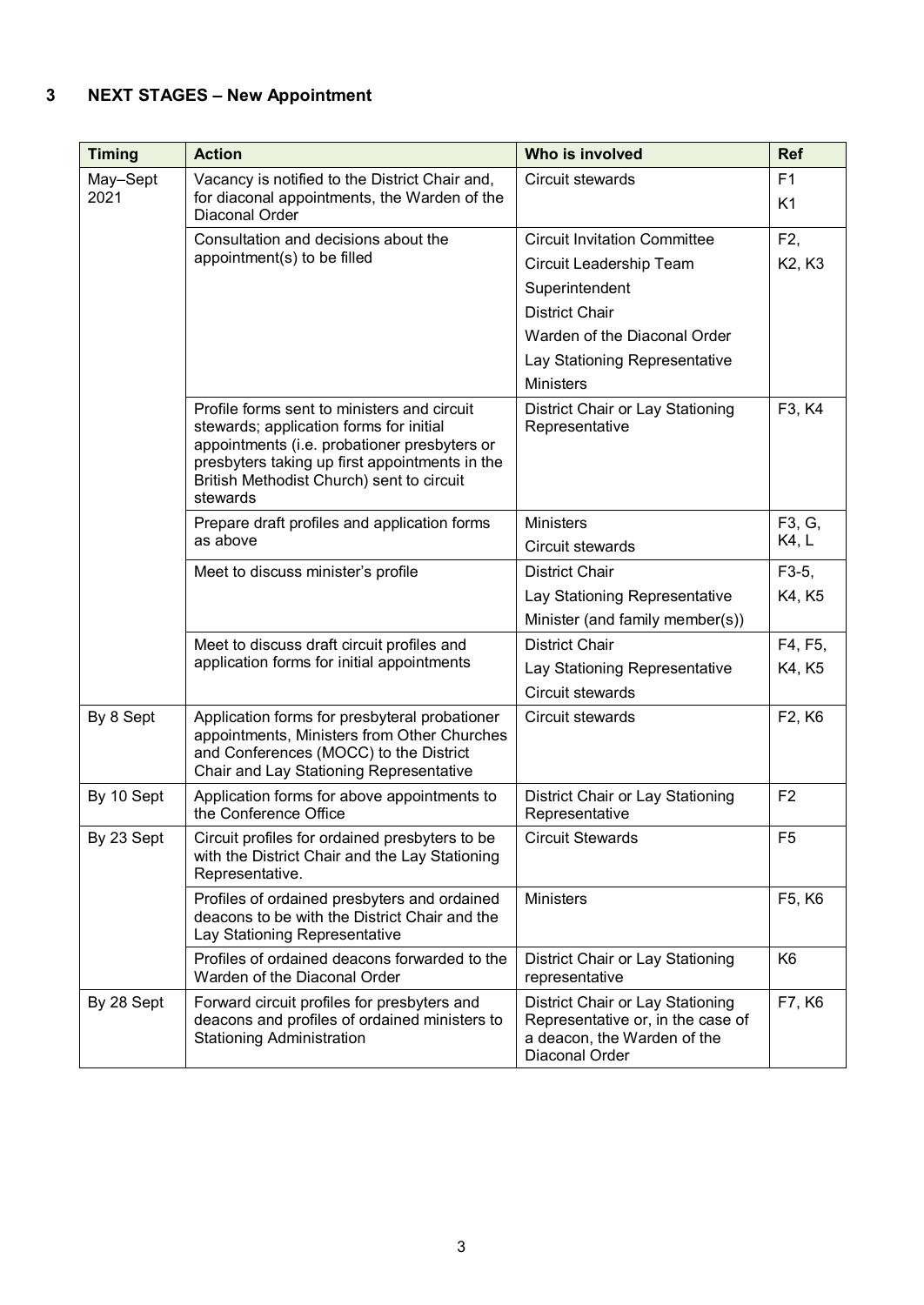## **3 NEXT STAGES – New Appointment**

| <b>Timing</b>    | <b>Action</b>                                                                                                                                                                     | Who is involved                                                                                                                                                                                                                                      | <b>Ref</b>                       |
|------------------|-----------------------------------------------------------------------------------------------------------------------------------------------------------------------------------|------------------------------------------------------------------------------------------------------------------------------------------------------------------------------------------------------------------------------------------------------|----------------------------------|
| May-Sept<br>2021 | Vacancy is notified to the District Chair and,<br>for diaconal appointments, the Warden of the<br>Diaconal Order                                                                  | Circuit stewards                                                                                                                                                                                                                                     | F <sub>1</sub><br>K <sub>1</sub> |
|                  | Consultation and decisions about the<br>appointment(s) to be filled<br>Profile forms sent to ministers and circuit<br>stewards; application forms for initial                     | <b>Circuit Invitation Committee</b><br>Circuit Leadership Team<br>Superintendent<br><b>District Chair</b><br>Warden of the Diaconal Order<br>Lay Stationing Representative<br><b>Ministers</b><br>District Chair or Lay Stationing<br>Representative | F2,<br>K2, K3<br>F3, K4          |
|                  | appointments (i.e. probationer presbyters or<br>presbyters taking up first appointments in the<br>British Methodist Church) sent to circuit<br>stewards                           |                                                                                                                                                                                                                                                      |                                  |
|                  | Prepare draft profiles and application forms<br>as above                                                                                                                          | <b>Ministers</b><br>Circuit stewards                                                                                                                                                                                                                 | F3, G,<br>K4, L                  |
|                  | Meet to discuss minister's profile                                                                                                                                                | <b>District Chair</b><br>Lay Stationing Representative<br>Minister (and family member(s))                                                                                                                                                            | $F3-5$ ,<br>K4, K5               |
|                  | Meet to discuss draft circuit profiles and<br>application forms for initial appointments                                                                                          | <b>District Chair</b><br>Lay Stationing Representative<br>Circuit stewards                                                                                                                                                                           | F4, F5,<br>K4, K5                |
| By 8 Sept        | Application forms for presbyteral probationer<br>appointments, Ministers from Other Churches<br>and Conferences (MOCC) to the District<br>Chair and Lay Stationing Representative | Circuit stewards                                                                                                                                                                                                                                     | F2, K6                           |
| By 10 Sept       | Application forms for above appointments to<br>the Conference Office                                                                                                              | District Chair or Lay Stationing<br>Representative                                                                                                                                                                                                   | F <sub>2</sub>                   |
| By 23 Sept       | Circuit profiles for ordained presbyters to be<br>with the District Chair and the Lay Stationing<br>Representative.                                                               | <b>Circuit Stewards</b>                                                                                                                                                                                                                              | F <sub>5</sub>                   |
|                  | Profiles of ordained presbyters and ordained<br>deacons to be with the District Chair and the<br>Lay Stationing Representative                                                    | <b>Ministers</b>                                                                                                                                                                                                                                     | F5, K6                           |
|                  | Profiles of ordained deacons forwarded to the<br>Warden of the Diaconal Order                                                                                                     | District Chair or Lay Stationing<br>representative                                                                                                                                                                                                   | K <sub>6</sub>                   |
| By 28 Sept       | Forward circuit profiles for presbyters and<br>deacons and profiles of ordained ministers to<br><b>Stationing Administration</b>                                                  | District Chair or Lay Stationing<br>Representative or, in the case of<br>a deacon, the Warden of the<br>Diaconal Order                                                                                                                               | F7, K6                           |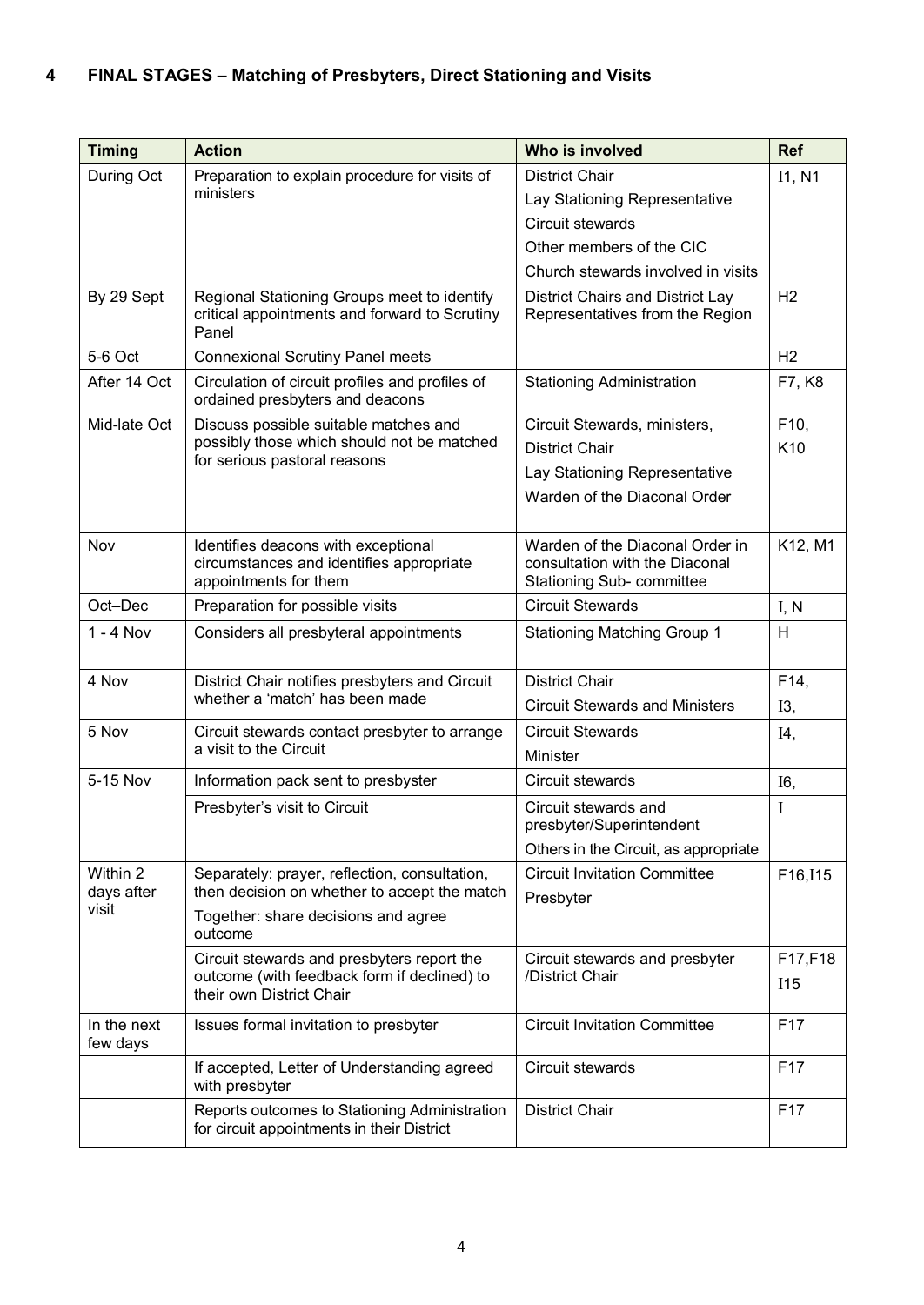## **4 FINAL STAGES – Matching of Presbyters, Direct Stationing and Visits**

| <b>Timing</b>                   | <b>Action</b>                                                                                            | Who is involved                                                                                       | <b>Ref</b>      |
|---------------------------------|----------------------------------------------------------------------------------------------------------|-------------------------------------------------------------------------------------------------------|-----------------|
| During Oct                      | Preparation to explain procedure for visits of                                                           | <b>District Chair</b>                                                                                 | I1, N1          |
|                                 | ministers                                                                                                | Lay Stationing Representative                                                                         |                 |
|                                 |                                                                                                          | Circuit stewards                                                                                      |                 |
|                                 |                                                                                                          | Other members of the CIC                                                                              |                 |
|                                 |                                                                                                          | Church stewards involved in visits                                                                    |                 |
| By 29 Sept                      | Regional Stationing Groups meet to identify<br>critical appointments and forward to Scrutiny<br>Panel    | District Chairs and District Lay<br>Representatives from the Region                                   | H <sub>2</sub>  |
| 5-6 Oct                         | <b>Connexional Scrutiny Panel meets</b>                                                                  |                                                                                                       | H <sub>2</sub>  |
| After 14 Oct                    | Circulation of circuit profiles and profiles of<br>ordained presbyters and deacons                       | <b>Stationing Administration</b>                                                                      | F7, K8          |
| Mid-late Oct                    | Discuss possible suitable matches and                                                                    | Circuit Stewards, ministers,                                                                          | F10,            |
|                                 | possibly those which should not be matched<br>for serious pastoral reasons                               | <b>District Chair</b>                                                                                 | K10             |
|                                 |                                                                                                          | Lay Stationing Representative                                                                         |                 |
|                                 |                                                                                                          | Warden of the Diaconal Order                                                                          |                 |
| Nov                             | Identifies deacons with exceptional<br>circumstances and identifies appropriate<br>appointments for them | Warden of the Diaconal Order in<br>consultation with the Diaconal<br><b>Stationing Sub- committee</b> | K12, M1         |
| Oct-Dec                         | Preparation for possible visits                                                                          | <b>Circuit Stewards</b>                                                                               | I, N            |
| $1 - 4$ Nov                     | Considers all presbyteral appointments                                                                   | <b>Stationing Matching Group 1</b>                                                                    | H               |
| 4 Nov                           | District Chair notifies presbyters and Circuit<br>whether a 'match' has been made                        | <b>District Chair</b>                                                                                 | F14,            |
|                                 |                                                                                                          | <b>Circuit Stewards and Ministers</b>                                                                 | I3,             |
| 5 Nov                           | Circuit stewards contact presbyter to arrange<br>a visit to the Circuit                                  | <b>Circuit Stewards</b>                                                                               | I4,             |
|                                 |                                                                                                          | Minister                                                                                              |                 |
| 5-15 Nov                        | Information pack sent to presbyster                                                                      | Circuit stewards                                                                                      | I6,             |
|                                 | Presbyter's visit to Circuit                                                                             | Circuit stewards and<br>presbyter/Superintendent                                                      | I               |
|                                 |                                                                                                          | Others in the Circuit, as appropriate                                                                 |                 |
| Within 2<br>days after<br>visit | Separately: prayer, reflection, consultation,                                                            | <b>Circuit Invitation Committee</b>                                                                   | F16, I15        |
|                                 | then decision on whether to accept the match                                                             | Presbyter                                                                                             |                 |
|                                 | Together: share decisions and agree<br>outcome                                                           |                                                                                                       |                 |
|                                 | Circuit stewards and presbyters report the                                                               | Circuit stewards and presbyter<br>/District Chair                                                     | F17,F18         |
|                                 | outcome (with feedback form if declined) to<br>their own District Chair                                  |                                                                                                       | I15             |
| In the next<br>few days         | Issues formal invitation to presbyter                                                                    | <b>Circuit Invitation Committee</b>                                                                   | F17             |
|                                 | If accepted, Letter of Understanding agreed<br>with presbyter                                            | Circuit stewards                                                                                      | F <sub>17</sub> |
|                                 | Reports outcomes to Stationing Administration<br>for circuit appointments in their District              | <b>District Chair</b>                                                                                 | F <sub>17</sub> |